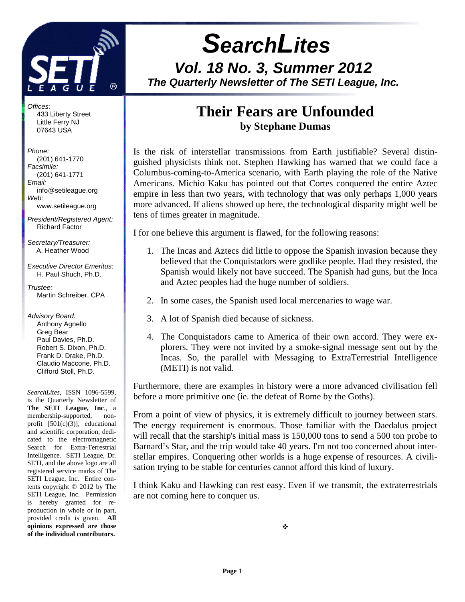

 **SearchLites Vol. 18 No. 3, Summer 2012 The Quarterly Newsletter of The SETI League, Inc.** 

## **Their Fears are Unfounded by Stephane Dumas**

Is the risk of interstellar transmissions from Earth justifiable? Several distinguished physicists think not. Stephen Hawking has warned that we could face a Columbus-coming-to-America scenario, with Earth playing the role of the Native Americans. Michio Kaku has pointed out that Cortes conquered the entire Aztec empire in less than two years, with technology that was only perhaps 1,000 years more advanced. If aliens showed up here, the technological disparity might well be tens of times greater in magnitude.

I for one believe this argument is flawed, for the following reasons:

- 1. The Incas and Aztecs did little to oppose the Spanish invasion because they believed that the Conquistadors were godlike people. Had they resisted, the Spanish would likely not have succeed. The Spanish had guns, but the Inca and Aztec peoples had the huge number of soldiers.
- 2. In some cases, the Spanish used local mercenaries to wage war.
- 3. A lot of Spanish died because of sickness.
- 4. The Conquistadors came to America of their own accord. They were explorers. They were not invited by a smoke-signal message sent out by the Incas. So, the parallel with Messaging to ExtraTerrestrial Intelligence (METI) is not valid.

Furthermore, there are examples in history were a more advanced civilisation fell before a more primitive one (ie. the defeat of Rome by the Goths).

From a point of view of physics, it is extremely difficult to journey between stars. The energy requirement is enormous. Those familiar with the Daedalus project will recall that the starship's initial mass is 150,000 tons to send a 500 ton probe to Barnard's Star, and the trip would take 40 years. I'm not too concerned about interstellar empires. Conquering other worlds is a huge expense of resources. A civilisation trying to be stable for centuries cannot afford this kind of luxury.

I think Kaku and Hawking can rest easy. Even if we transmit, the extraterrestrials are not coming here to conquer us.

Offices: 433 Liberty Street Little Ferry NJ 07643 USA

Phone: (201) 641-1770 Facsimile: (201) 641-1771 Email: info@setileague.org Web: www.setileague.org

President/Registered Agent: Richard Factor

Secretary/Treasurer: A. Heather Wood

Executive Director Emeritus: H. Paul Shuch, Ph.D.

Trustee<sup>.</sup> Martin Schreiber, CPA

Advisory Board: Anthony Agnello Greg Bear Paul Davies, Ph.D. Robert S. Dixon, Ph.D. Frank D. Drake, Ph.D. Claudio Maccone, Ph.D. Clifford Stoll, Ph.D.

*SearchLites*, ISSN 1096-5599, is the Quarterly Newsletter of **The SETI League, Inc**., a membership-supported, nonprofit [501(c)(3)], educational and scientific corporation, dedicated to the electromagnetic Search for Extra-Terrestrial Intelligence. SETI League, Dr. SETI, and the above logo are all registered service marks of The SETI League, Inc. Entire contents copyright © 2012 by The SETI League, Inc. Permission is hereby granted for reproduction in whole or in part, provided credit is given. **All opinions expressed are those of the individual contributors.**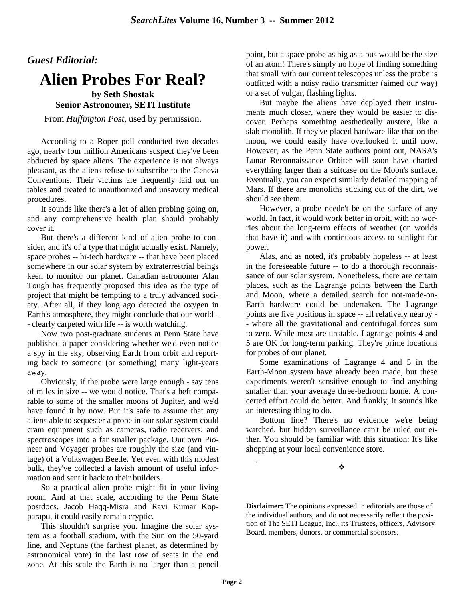### *Guest Editorial:*

# **Alien Probes For Real?**

#### **by Seth Shostak Senior Astronomer, SETI Institute**

From *Huffington Post*, used by permission.

According to a Roper poll conducted two decades ago, nearly four million Americans suspect they've been abducted by space aliens. The experience is not always pleasant, as the aliens refuse to subscribe to the Geneva Conventions. Their victims are frequently laid out on tables and treated to unauthorized and unsavory medical procedures.

It sounds like there's a lot of alien probing going on, and any comprehensive health plan should probably cover it.

But there's a different kind of alien probe to consider, and it's of a type that might actually exist. Namely, space probes -- hi-tech hardware -- that have been placed somewhere in our solar system by extraterrestrial beings keen to monitor our planet. Canadian astronomer Alan Tough has frequently proposed this idea as the type of project that might be tempting to a truly advanced society. After all, if they long ago detected the oxygen in Earth's atmosphere, they might conclude that our world - - clearly carpeted with life -- is worth watching.

Now two post-graduate students at Penn State have published a paper considering whether we'd even notice a spy in the sky, observing Earth from orbit and reporting back to someone (or something) many light-years away.

Obviously, if the probe were large enough - say tens of miles in size -- we would notice. That's a heft comparable to some of the smaller moons of Jupiter, and we'd have found it by now. But it's safe to assume that any aliens able to sequester a probe in our solar system could cram equipment such as cameras, radio receivers, and spectroscopes into a far smaller package. Our own Pioneer and Voyager probes are roughly the size (and vintage) of a Volkswagen Beetle. Yet even with this modest bulk, they've collected a lavish amount of useful information and sent it back to their builders.

So a practical alien probe might fit in your living room. And at that scale, according to the Penn State postdocs, Jacob Haqq-Misra and Ravi Kumar Kopparapu, it could easily remain cryptic.

This shouldn't surprise you. Imagine the solar system as a football stadium, with the Sun on the 50-yard line, and Neptune (the farthest planet, as determined by astronomical vote) in the last row of seats in the end zone. At this scale the Earth is no larger than a pencil point, but a space probe as big as a bus would be the size of an atom! There's simply no hope of finding something that small with our current telescopes unless the probe is outfitted with a noisy radio transmitter (aimed our way) or a set of vulgar, flashing lights.

But maybe the aliens have deployed their instruments much closer, where they would be easier to discover. Perhaps something aesthetically austere, like a slab monolith. If they've placed hardware like that on the moon, we could easily have overlooked it until now. However, as the Penn State authors point out, NASA's Lunar Reconnaissance Orbiter will soon have charted everything larger than a suitcase on the Moon's surface. Eventually, you can expect similarly detailed mapping of Mars. If there are monoliths sticking out of the dirt, we should see them.

However, a probe needn't be on the surface of any world. In fact, it would work better in orbit, with no worries about the long-term effects of weather (on worlds that have it) and with continuous access to sunlight for power.

Alas, and as noted, it's probably hopeless -- at least in the foreseeable future -- to do a thorough reconnaissance of our solar system. Nonetheless, there are certain places, such as the Lagrange points between the Earth and Moon, where a detailed search for not-made-on-Earth hardware could be undertaken. The Lagrange points are five positions in space -- all relatively nearby - - where all the gravitational and centrifugal forces sum to zero. While most are unstable, Lagrange points 4 and 5 are OK for long-term parking. They're prime locations for probes of our planet.

Some examinations of Lagrange 4 and 5 in the Earth-Moon system have already been made, but these experiments weren't sensitive enough to find anything smaller than your average three-bedroom home. A concerted effort could do better. And frankly, it sounds like an interesting thing to do.

Bottom line? There's no evidence we're being watched, but hidden surveillance can't be ruled out either. You should be familiar with this situation: It's like shopping at your local convenience store.

÷

**Disclaimer:** The opinions expressed in editorials are those of the individual authors, and do not necessarily reflect the position of The SETI League, Inc., its Trustees, officers, Advisory Board, members, donors, or commercial sponsors.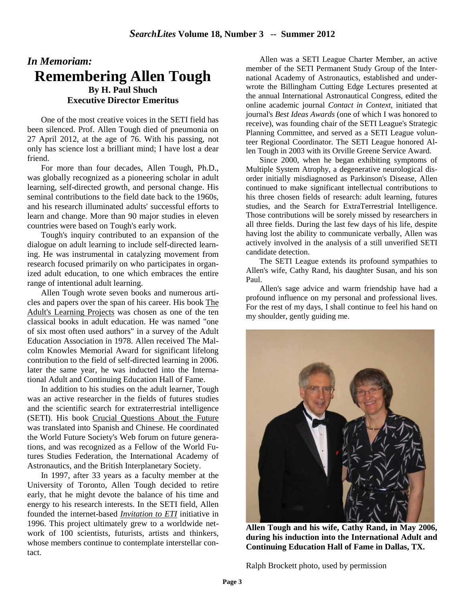## *In Memoriam:*  **Remembering Allen Tough By H. Paul Shuch Executive Director Emeritus**

One of the most creative voices in the SETI field has been silenced. Prof. Allen Tough died of pneumonia on 27 April 2012, at the age of 76. With his passing, not only has science lost a brilliant mind; I have lost a dear friend.

For more than four decades, Allen Tough, Ph.D., was globally recognized as a pioneering scholar in adult learning, self-directed growth, and personal change. His seminal contributions to the field date back to the 1960s, and his research illuminated adults' successful efforts to learn and change. More than 90 major studies in eleven countries were based on Tough's early work.

Tough's inquiry contributed to an expansion of the dialogue on adult learning to include self-directed learning. He was instrumental in catalyzing movement from research focused primarily on who participates in organized adult education, to one which embraces the entire range of intentional adult learning.

Allen Tough wrote seven books and numerous articles and papers over the span of his career. His book The Adult's Learning Projects was chosen as one of the ten classical books in adult education. He was named "one of six most often used authors" in a survey of the Adult Education Association in 1978. Allen received The Malcolm Knowles Memorial Award for significant lifelong contribution to the field of self-directed learning in 2006. later the same year, he was inducted into the International Adult and Continuing Education Hall of Fame.

In addition to his studies on the adult learner, Tough was an active researcher in the fields of futures studies and the scientific search for extraterrestrial intelligence (SETI). His book Crucial Questions About the Future was translated into Spanish and Chinese. He coordinated the World Future Society's Web forum on future generations, and was recognized as a Fellow of the World Futures Studies Federation, the International Academy of Astronautics, and the British Interplanetary Society.

In 1997, after 33 years as a faculty member at the University of Toronto, Allen Tough decided to retire early, that he might devote the balance of his time and energy to his research interests. In the SETI field, Allen founded the internet-based *Invitation to ETI* initiative in 1996. This project ultimately grew to a worldwide network of 100 scientists, futurists, artists and thinkers, whose members continue to contemplate interstellar contact.

Allen was a SETI League Charter Member, an active member of the SETI Permanent Study Group of the International Academy of Astronautics, established and underwrote the Billingham Cutting Edge Lectures presented at the annual International Astronautical Congress, edited the online academic journal *Contact in Context*, initiated that journal's *Best Ideas Awards* (one of which I was honored to receive), was founding chair of the SETI League's Strategic Planning Committee, and served as a SETI League volunteer Regional Coordinator. The SETI League honored Allen Tough in 2003 with its Orville Greene Service Award.

Since 2000, when he began exhibiting symptoms of Multiple System Atrophy, a degenerative neurological disorder initially misdiagnosed as Parkinson's Disease, Allen continued to make significant intellectual contributions to his three chosen fields of research: adult learning, futures studies, and the Search for ExtraTerrestrial Intelligence. Those contributions will be sorely missed by researchers in all three fields. During the last few days of his life, despite having lost the ability to communicate verbally, Allen was actively involved in the analysis of a still unverified SETI candidate detection.

The SETI League extends its profound sympathies to Allen's wife, Cathy Rand, his daughter Susan, and his son Paul.

Allen's sage advice and warm friendship have had a profound influence on my personal and professional lives. For the rest of my days, I shall continue to feel his hand on my shoulder, gently guiding me.



**Allen Tough and his wife, Cathy Rand, in May 2006, during his induction into the International Adult and Continuing Education Hall of Fame in Dallas, TX.** 

Ralph Brockett photo, used by permission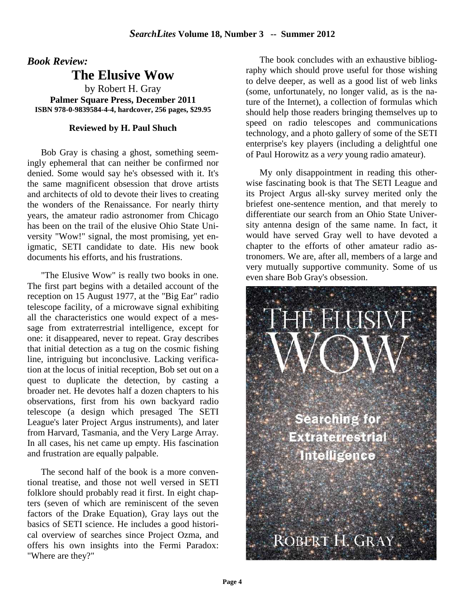*Book Review:*

## **The Elusive Wow**

by Robert H. Gray **Palmer Square Press, December 2011 ISBN 978-0-9839584-4-4, hardcover, 256 pages, \$29.95** 

#### **Reviewed by H. Paul Shuch**

Bob Gray is chasing a ghost, something seemingly ephemeral that can neither be confirmed nor denied. Some would say he's obsessed with it. It's the same magnificent obsession that drove artists and architects of old to devote their lives to creating the wonders of the Renaissance. For nearly thirty years, the amateur radio astronomer from Chicago has been on the trail of the elusive Ohio State University "Wow!" signal, the most promising, yet enigmatic, SETI candidate to date. His new book documents his efforts, and his frustrations.

"The Elusive Wow" is really two books in one. The first part begins with a detailed account of the reception on 15 August 1977, at the "Big Ear" radio telescope facility, of a microwave signal exhibiting all the characteristics one would expect of a message from extraterrestrial intelligence, except for one: it disappeared, never to repeat. Gray describes that initial detection as a tug on the cosmic fishing line, intriguing but inconclusive. Lacking verification at the locus of initial reception, Bob set out on a quest to duplicate the detection, by casting a broader net. He devotes half a dozen chapters to his observations, first from his own backyard radio telescope (a design which presaged The SETI League's later Project Argus instruments), and later from Harvard, Tasmania, and the Very Large Array. In all cases, his net came up empty. His fascination and frustration are equally palpable.

The second half of the book is a more conventional treatise, and those not well versed in SETI folklore should probably read it first. In eight chapters (seven of which are reminiscent of the seven factors of the Drake Equation), Gray lays out the basics of SETI science. He includes a good historical overview of searches since Project Ozma, and offers his own insights into the Fermi Paradox: "Where are they?"

The book concludes with an exhaustive bibliography which should prove useful for those wishing to delve deeper, as well as a good list of web links (some, unfortunately, no longer valid, as is the nature of the Internet), a collection of formulas which should help those readers bringing themselves up to speed on radio telescopes and communications technology, and a photo gallery of some of the SETI enterprise's key players (including a delightful one of Paul Horowitz as a *very* young radio amateur).

My only disappointment in reading this otherwise fascinating book is that The SETI League and its Project Argus all-sky survey merited only the briefest one-sentence mention, and that merely to differentiate our search from an Ohio State University antenna design of the same name. In fact, it would have served Gray well to have devoted a chapter to the efforts of other amateur radio astronomers. We are, after all, members of a large and very mutually supportive community. Some of us even share Bob Gray's obsession.

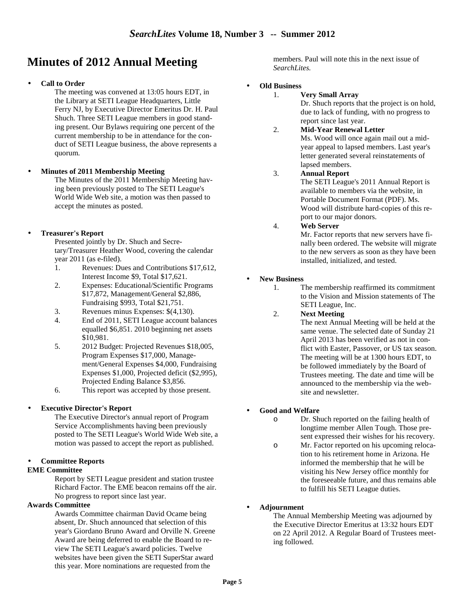## **Minutes of 2012 Annual Meeting**

#### • **Call to Order**

The meeting was convened at 13:05 hours EDT, in the Library at SETI League Headquarters, Little Ferry NJ, by Executive Director Emeritus Dr. H. Paul Shuch. Three SETI League members in good standing present. Our Bylaws requiring one percent of the current membership to be in attendance for the conduct of SETI League business, the above represents a quorum.

• **Minutes of 2011 Membership Meeting**

The Minutes of the 2011 Membership Meeting having been previously posted to The SETI League's World Wide Web site, a motion was then passed to accept the minutes as posted.

#### • **Treasurer's Report**

Presented jointly by Dr. Shuch and Secretary/Treasurer Heather Wood, covering the calendar year 2011 (as e-filed).

- 1. Revenues: Dues and Contributions \$17,612, Interest Income \$9, Total \$17,621.
- 2. Expenses: Educational/Scientific Programs \$17,872, Management/General \$2,886, Fundraising \$993, Total \$21,751.
- 3. Revenues minus Expenses: \$(4,130).
- 4. End of 2011, SETI League account balances equalled \$6,851. 2010 beginning net assets \$10,981.
- 5. 2012 Budget: Projected Revenues \$18,005, Program Expenses \$17,000, Management/General Expenses \$4,000, Fundraising Expenses \$1,000, Projected deficit (\$2,995), Projected Ending Balance \$3,856.
- 6. This report was accepted by those present.

#### **Executive Director's Report**

The Executive Director's annual report of Program Service Accomplishments having been previously posted to The SETI League's World Wide Web site, a motion was passed to accept the report as published.

#### • **Committee Reports**

#### **EME Committee**

Report by SETI League president and station trustee Richard Factor. The EME beacon remains off the air. No progress to report since last year.

#### **Awards Committee**

Awards Committee chairman David Ocame being absent, Dr. Shuch announced that selection of this year's Giordano Bruno Award and Orville N. Greene Award are being deferred to enable the Board to review The SETI League's award policies. Twelve websites have been given the SETI SuperStar award this year. More nominations are requested from the

members. Paul will note this in the next issue of *SearchLites.*

#### • **Old Business**

#### 1. **Very Small Array**

Dr. Shuch reports that the project is on hold, due to lack of funding, with no progress to report since last year.

#### 2. **Mid-Year Renewal Letter**

Ms. Wood will once again mail out a midyear appeal to lapsed members. Last year's letter generated several reinstatements of lapsed members.

#### 3. **Annual Report**

The SETI League's 2011 Annual Report is available to members via the website, in Portable Document Format (PDF). Ms. Wood will distribute hard-copies of this report to our major donors.

#### 4. **Web Server**

Mr. Factor reports that new servers have finally been ordered. The website will migrate to the new servers as soon as they have been installed, initialized, and tested.

#### • **New Business**

1. The membership reaffirmed its commitment to the Vision and Mission statements of The SETI League, Inc.

#### 2. **Next Meeting**

The next Annual Meeting will be held at the same venue. The selected date of Sunday 21 April 2013 has been verified as not in conflict with Easter, Passover, or US tax season. The meeting will be at 1300 hours EDT, to be followed immediately by the Board of Trustees meeting. The date and time will be announced to the membership via the website and newsletter.

#### • **Good and Welfare**

- o Dr. Shuch reported on the failing health of longtime member Allen Tough. Those present expressed their wishes for his recovery.
- o Mr. Factor reported on his upcoming relocation to his retirement home in Arizona. He informed the membership that he will be visiting his New Jersey office monthly for the foreseeable future, and thus remains able to fulfill his SETI League duties.

#### • **Adjournment**

The Annual Membership Meeting was adjourned by the Executive Director Emeritus at 13:32 hours EDT on 22 April 2012. A Regular Board of Trustees meeting followed.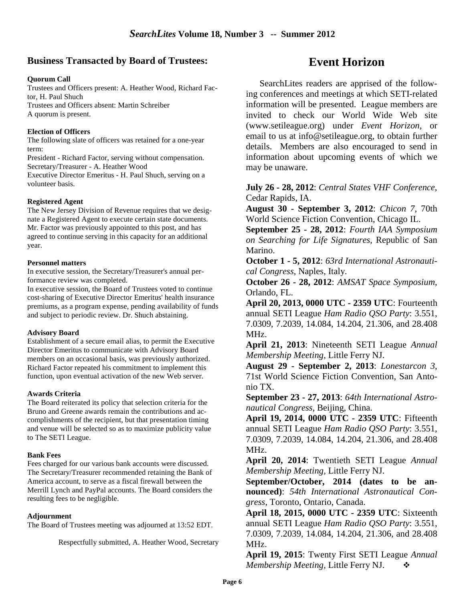#### **Business Transacted by Board of Trustees:**

#### **Quorum Call**

Trustees and Officers present: A. Heather Wood, Richard Factor, H. Paul Shuch Trustees and Officers absent: Martin Schreiber A quorum is present.

#### **Election of Officers**

The following slate of officers was retained for a one-year term:

President - Richard Factor, serving without compensation. Secretary/Treasurer - A. Heather Wood

Executive Director Emeritus - H. Paul Shuch, serving on a volunteer basis.

#### **Registered Agent**

The New Jersey Division of Revenue requires that we designate a Registered Agent to execute certain state documents. Mr. Factor was previously appointed to this post, and has agreed to continue serving in this capacity for an additional year.

#### **Personnel matters**

In executive session, the Secretary/Treasurer's annual performance review was completed.

In executive session, the Board of Trustees voted to continue cost-sharing of Executive Director Emeritus' health insurance premiums, as a program expense, pending availability of funds and subject to periodic review. Dr. Shuch abstaining.

#### **Advisory Board**

Establishment of a secure email alias, to permit the Executive Director Emeritus to communicate with Advisory Board members on an occasional basis, was previously authorized. Richard Factor repeated his commitment to implement this function, upon eventual activation of the new Web server.

#### **Awards Criteria**

The Board reiterated its policy that selection criteria for the Bruno and Greene awards remain the contributions and accomplishments of the recipient, but that presentation timing and venue will be selected so as to maximize publicity value to The SETI League.

#### **Bank Fees**

Fees charged for our various bank accounts were discussed. The Secretary/Treasurer recommended retaining the Bank of America account, to serve as a fiscal firewall between the Merrill Lynch and PayPal accounts. The Board considers the resulting fees to be negligible.

#### **Adjournment**

The Board of Trustees meeting was adjourned at 13:52 EDT.

Respectfully submitted, A. Heather Wood, Secretary

## **Event Horizon**

SearchLites readers are apprised of the following conferences and meetings at which SETI-related information will be presented. League members are invited to check our World Wide Web site (www.setileague.org) under *Event Horizon*, or email to us at info@setileague.org, to obtain further details. Members are also encouraged to send in information about upcoming events of which we may be unaware.

#### **July 26 - 28, 2012**: *Central States VHF Conference*, Cedar Rapids, IA.

**August 30 - September 3, 2012**: *Chicon 7*, 70th World Science Fiction Convention, Chicago IL.

**September 25 - 28, 2012**: *Fourth IAA Symposium on Searching for Life Signatures*, Republic of San Marino.

**October 1 - 5, 2012**: *63rd International Astronautical Congress*, Naples, Italy.

**October 26 - 28, 2012**: *AMSAT Space Symposium*, Orlando, FL.

**April 20, 2013, 0000 UTC - 2359 UTC**: Fourteenth annual SETI League *Ham Radio QSO Party*: 3.551, 7.0309, 7.2039, 14.084, 14.204, 21.306, and 28.408 MHz.

**April 21, 2013**: Nineteenth SETI League *Annual Membership Meeting*, Little Ferry NJ.

**August 29 - September 2, 2013**: *Lonestarcon 3*, 71st World Science Fiction Convention, San Antonio TX.

**September 23 - 27, 2013**: *64th International Astronautical Congress*, Beijing, China.

**April 19, 2014, 0000 UTC - 2359 UTC**: Fifteenth annual SETI League *Ham Radio QSO Party*: 3.551, 7.0309, 7.2039, 14.084, 14.204, 21.306, and 28.408 MHz.

**April 20, 2014**: Twentieth SETI League *Annual Membership Meeting,* Little Ferry NJ.

**September/October, 2014 (dates to be announced)**: *54th International Astronautical Congress*, Toronto, Ontario, Canada.

**April 18, 2015, 0000 UTC - 2359 UTC**: Sixteenth annual SETI League *Ham Radio QSO Party*: 3.551, 7.0309, 7.2039, 14.084, 14.204, 21.306, and 28.408 MHz.

**April 19, 2015**: Twenty First SETI League *Annual Membership Meeting,* Little Ferry NJ.